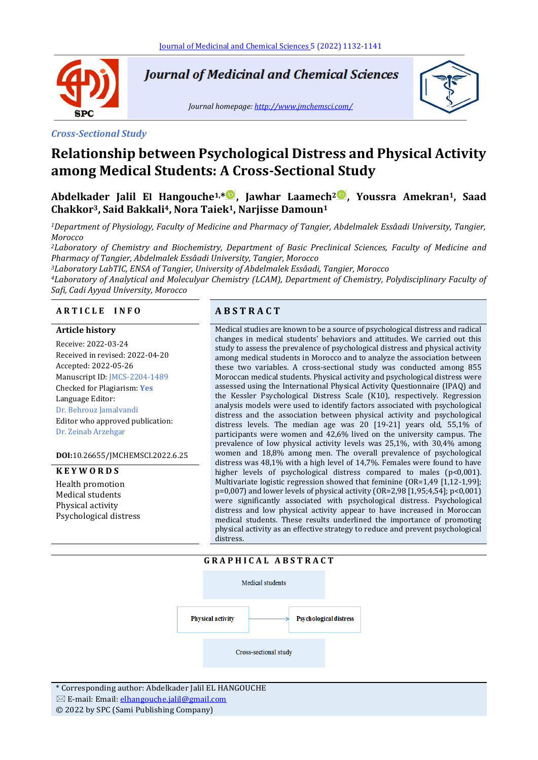

**Journal of Medicinal and Chemical Sciences** 

*Journal homepage[: http://www.jmchemsci.com/](http://www.jmchemsci.com/)*



#### *Cross-Sectional Study*

# **Relationship between Psychological Distress and Physical Activity among Medical Students: A Cross-Sectional Study**

**Abdelkader Jalil El Hangouche1,\* , Jawhar Laamech<sup>2</sup> , Youssra Amekran1, Saad Chakkor3, Said Bakkali <sup>4</sup>, Nora Taiek1, Narjisse Damoun<sup>1</sup>**

*<sup>1</sup>Department of Physiology, Faculty of Medicine and Pharmacy of Tangier, Abdelmalek Essâadi University, Tangier, Morocco*

*<sup>2</sup>Laboratory of Chemistry and Biochemistry, Department of Basic Preclinical Sciences, Faculty of Medicine and Pharmacy of Tangier, Abdelmalek Essâadi University, Tangier, Morocco*

*<sup>3</sup>Laboratory LabTIC, ENSA of Tangier, University of Abdelmalek Essâadi, Tangier, Morocco*

*<sup>4</sup>Laboratory of Analytical and Moleculyar Chemistry (LCAM), Department of Chemistry, Polydisciplinary Faculty of Safi, Cadi Ayyad University, Morocco*

#### **A R T I C L E I N F O A B S T R A C T**

#### **Article history**

Receive: 2022-03-24 Received in revised: 2022-04-20 Accepted: 2022-05-26 Manuscript ID: JMCS-2204-1489 Checked for Plagiarism: **Yes** Language Editor: Dr. Behrouz Jamalvandi Editor who approved publication: Dr. Zeinab Arzehgar

**DOI:**10.26655/JMCHEMSCI.2022.6.25

#### **K E Y W O R D S**

Health promotion Medical students Physical activity Psychological distress

Medical studies are known to be a source of psychological distress and radical changes in medical students' behaviors and attitudes. We carried out this study to assess the prevalence of psychological distress and physical activity among medical students in Morocco and to analyze the association between these two variables. A cross-sectional study was conducted among 855 Moroccan medical students. Physical activity and psychological distress were assessed using the International Physical Activity Questionnaire (IPAQ) and the Kessler Psychological Distress Scale (K10), respectively. Regression analysis models were used to identify factors associated with psychological distress and the association between physical activity and psychological distress levels. The median age was 20 [19-21] years old, 55,1% of participants were women and 42,6% lived on the university campus. The prevalence of low physical activity levels was 25,1%, with 30,4% among women and 18,8% among men. The overall prevalence of psychological distress was 48,1% with a high level of 14,7%. Females were found to have higher levels of psychological distress compared to males (p<0,001). Multivariate logistic regression showed that feminine (OR=1,49 [1,12-1,99]; p=0,007) and lower levels of physical activity (OR=2,98 [1,95;4,54]; p<0,001) were significantly associated with psychological distress. Psychological distress and low physical activity appear to have increased in Moroccan medical students. These results underlined the importance of promoting physical activity as an effective strategy to reduce and prevent psychological distress.

### **G R A P H I C A L A B S T R A C T**



\* Corresponding author: Abdelkader Jalil EL HANGOUCHE  $\boxtimes$  E-mail: Email[: elhangouche.jalil@gmail.com](mailto:elhangouche.jalil@gmail.com)

© 2022 by SPC (Sami Publishing Company)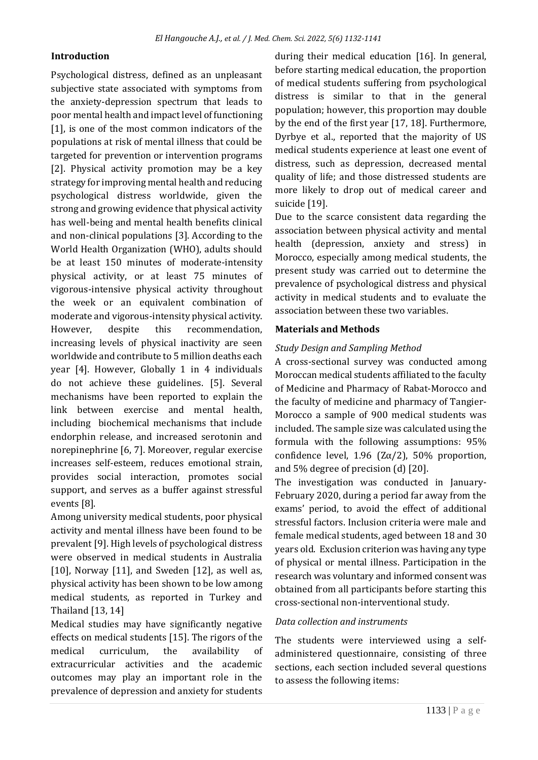# **Introduction**

Psychological distress, defined as an unpleasant subjective state associated with symptoms from the anxiety-depression spectrum that leads to poor mental health and impact level of functioning [1], is one of the most common indicators of the populations at risk of mental illness that could be targeted for prevention or intervention programs [2]. Physical activity promotion may be a key strategy for improving mental health and reducing psychological distress worldwide, given the strong and growing evidence that physical activity has well-being and mental health benefits clinical and non-clinical populations [3]. According to the World Health Organization (WHO), adults should be at least 150 minutes of moderate-intensity physical activity, or at least 75 minutes of vigorous-intensive physical activity throughout the week or an equivalent combination of moderate and vigorous-intensity physical activity. However, despite this recommendation, increasing levels of physical inactivity are seen worldwide and contribute to 5 million deaths each year [4]. However, Globally 1 in 4 individuals do not achieve these guidelines. [5]. Several mechanisms have been reported to explain the link between exercise and mental health, including biochemical mechanisms that include endorphin release, and increased serotonin and norepinephrine [6, 7]. Moreover, regular exercise increases self-esteem, reduces emotional strain, provides social interaction, promotes social support, and serves as a buffer against stressful events [8].

Among university medical students, poor physical activity and mental illness have been found to be prevalent [9]. High levels of psychological distress were observed in medical students in Australia  $[10]$ , Norway  $[11]$ , and Sweden  $[12]$ , as well as, physical activity has been shown to be low among medical students, as reported in Turkey and Thailand [13, 14]

Medical studies may have significantly negative effects on medical students [15]. The rigors of the medical curriculum, the availability of extracurricular activities and the academic outcomes may play an important role in the prevalence of depression and anxiety for students

during their medical education [16]. In general, before starting medical education, the proportion of medical students suffering from psychological distress is similar to that in the general population; however, this proportion may double by the end of the first year [17, 18]. Furthermore, Dyrbye et al., reported that the majority of US medical students experience at least one event of distress, such as depression, decreased mental quality of life; and those distressed students are more likely to drop out of medical career and suicide [19].

Due to the scarce consistent data regarding the association between physical activity and mental health (depression, anxiety and stress) in Morocco, especially among medical students, the present study was carried out to determine the prevalence of psychological distress and physical activity in medical students and to evaluate the association between these two variables.

# **Materials and Methods**

# *Study Design and Sampling Method*

A cross-sectional survey was conducted among Moroccan medical students affiliated to the faculty of Medicine and Pharmacy of Rabat-Morocco and the faculty of medicine and pharmacy of Tangier-Morocco a sample of 900 medical students was included. The sample size was calculated using the formula with the following assumptions: 95% confidence level, 1.96 ( $Z\alpha/2$ ), 50% proportion, and 5% degree of precision (d) [20].

The investigation was conducted in January-February 2020, during a period far away from the exams' period, to avoid the effect of additional stressful factors. Inclusion criteria were male and female medical students, aged between 18 and 30 years old. Exclusion criterion was having any type of physical or mental illness. Participation in the research was voluntary and informed consent was obtained from all participants before starting this cross-sectional non-interventional study.

# *Data collection and instruments*

The students were interviewed using a selfadministered questionnaire, consisting of three sections, each section included several questions to assess the following items: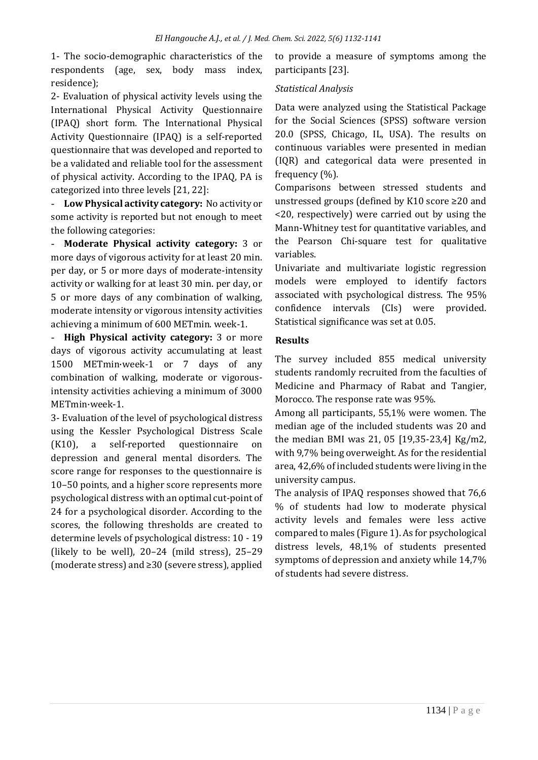1- The socio-demographic characteristics of the respondents (age, sex, body mass index, residence);

2- Evaluation of physical activity levels using the International Physical Activity Questionnaire (IPAQ) short form. The International Physical Activity Questionnaire (IPAQ) is a self-reported questionnaire that was developed and reported to be a validated and reliable tool for the assessment of physical activity. According to the IPAQ, PA is categorized into three levels [21, 22]:

**- Low Physical activity category:** No activity or some activity is reported but not enough to meet the following categories:

**- Moderate Physical activity category:** 3 or more days of vigorous activity for at least 20 min. per day, or 5 or more days of moderate-intensity activity or walking for at least 30 min. per day, or 5 or more days of any combination of walking, moderate intensity or vigorous intensity activities achieving a minimum of 600 METmin. week-1.

**- High Physical activity category:** 3 or more days of vigorous activity accumulating at least 1500 METmin·week-1 or 7 days of any combination of walking, moderate or vigorousintensity activities achieving a minimum of 3000 METmin·week-1.

3- Evaluation of the level of psychological distress using the Kessler Psychological Distress Scale (K10), a self-reported questionnaire on depression and general mental disorders. The score range for responses to the questionnaire is 10–50 points, and a higher score represents more psychological distress with an optimal cut-point of 24 for a psychological disorder. According to the scores, the following thresholds are created to determine levels of psychological distress: 10 - 19 (likely to be well), 20–24 (mild stress), 25–29 (moderate stress) and ≥30 (severe stress), applied to provide a measure of symptoms among the participants [23].

# *Statistical Analysis*

Data were analyzed using the Statistical Package for the Social Sciences (SPSS) software version 20.0 (SPSS, Chicago, IL, USA). The results on continuous variables were presented in median (IQR) and categorical data were presented in frequency (%).

Comparisons between stressed students and unstressed groups (defined by K10 score ≥20 and <20, respectively) were carried out by using the Mann-Whitney test for quantitative variables, and the Pearson Chi-square test for qualitative variables.

Univariate and multivariate logistic regression models were employed to identify factors associated with psychological distress. The 95% confidence intervals (CIs) were provided. Statistical significance was set at 0.05.

# **Results**

The survey included 855 medical university students randomly recruited from the faculties of Medicine and Pharmacy of Rabat and Tangier, Morocco. The response rate was 95%.

Among all participants, 55,1% were women. The median age of the included students was 20 and the median BMI was 21, 05 [19,35-23,4] Kg/m2, with 9,7% being overweight. As for the residential area, 42,6% of included students were living in the university campus.

The analysis of IPAQ responses showed that 76,6 % of students had low to moderate physical activity levels and females were less active compared to males (Figure 1). As for psychological distress levels, 48,1% of students presented symptoms of depression and anxiety while 14,7% of students had severe distress.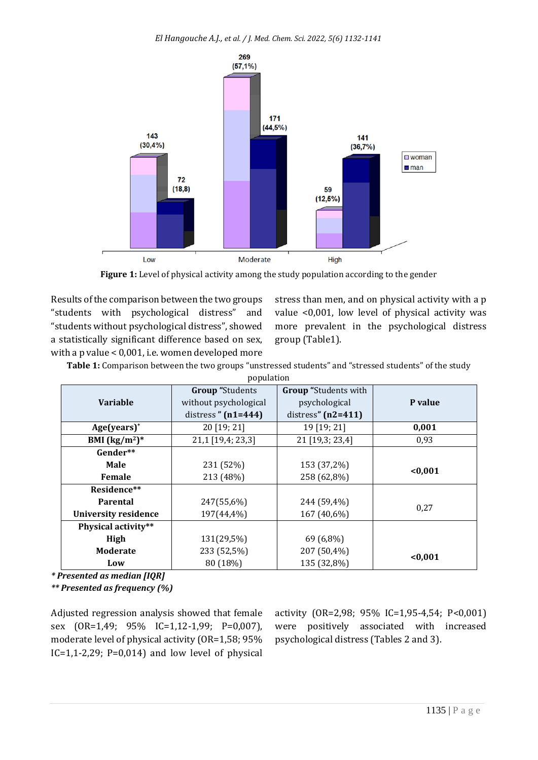

Figure 1: Level of physical activity among the study population according to the gender

Results of the comparison between the two groups "students with psychological distress" and "students without psychological distress", showed a statistically significant difference based on sex, with a p value < 0,001, i.e. women developed more stress than men, and on physical activity with a p value <0,001, low level of physical activity was more prevalent in the psychological distress group (Table1).

**Table 1:** Comparison between the two groups "unstressed students" and "stressed students" of the study

| population                  |                                               |                             |         |  |  |  |  |
|-----------------------------|-----------------------------------------------|-----------------------------|---------|--|--|--|--|
|                             | <b>Group</b> "Students                        | <b>Group</b> "Students with |         |  |  |  |  |
| <b>Variable</b>             | without psychological                         | psychological               | P value |  |  |  |  |
|                             | distress" $(n2=411)$<br>distress $" (n1=444)$ |                             |         |  |  |  |  |
| $Age(years)^*$              | 20 [19; 21]                                   | 19 [19; 21]                 | 0,001   |  |  |  |  |
| BMI $(kg/m^2)^*$            | 21,1 [19,4; 23,3]                             | 21 [19,3; 23,4]             | 0.93    |  |  |  |  |
| Gender**                    |                                               |                             |         |  |  |  |  |
| <b>Male</b>                 | 231 (52%)                                     | 153 (37,2%)                 | < 0.001 |  |  |  |  |
| Female                      | 213 (48%)                                     | 258 (62,8%)                 |         |  |  |  |  |
| Residence**                 |                                               |                             |         |  |  |  |  |
| <b>Parental</b>             | 247(55,6%)                                    | 244 (59,4%)                 | 0.27    |  |  |  |  |
| <b>University residence</b> | 197(44,4%)                                    | 167 (40,6%)                 |         |  |  |  |  |
| Physical activity**         |                                               |                             |         |  |  |  |  |
| High                        | 131(29,5%)                                    | 69 (6,8%)                   |         |  |  |  |  |
| <b>Moderate</b>             | 233 (52,5%)                                   | 207 (50,4%)                 | < 0.001 |  |  |  |  |
| Low                         | 80 (18%)                                      | 135 (32,8%)                 |         |  |  |  |  |

*\* Presented as median [IQR]*

*\*\* Presented as frequency (%)*

Adjusted regression analysis showed that female sex (OR=1,49; 95% IC=1,12-1,99; P=0,007), moderate level of physical activity (OR=1,58; 95%  $IC=1,1-2,29$ ;  $P=0,014$ ) and low level of physical activity (OR=2,98; 95% IC=1,95-4,54; P<0,001) were positively associated with increased psychological distress (Tables 2 and 3).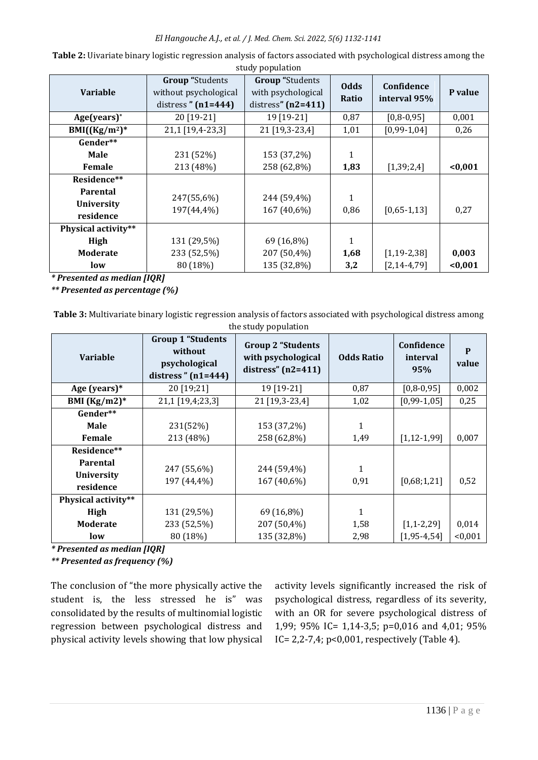### *El Hangouche A.J., et al. / J. Med. Chem. Sci. 2022, 5(6) 1132-1141*

| $\mathcal{L}$ . For $\mathcal{L}$ and $\mathcal{L}$ |                                                 |                                                             |              |                   |         |  |  |
|-----------------------------------------------------|-------------------------------------------------|-------------------------------------------------------------|--------------|-------------------|---------|--|--|
| <b>Variable</b>                                     | <b>Group</b> "Students<br>without psychological | <b>Group</b> "Students<br><b>Odds</b><br>with psychological |              | Confidence        | P value |  |  |
|                                                     | distress $"$ (n1=444)                           | distress" $(n2=411)$                                        | Ratio        | interval 95%      |         |  |  |
| $Age(years)^*$                                      | 20 [19-21]                                      | 19 [19-21]                                                  | 0,87         | $[0,8-0,95]$      | 0,001   |  |  |
| $BMI((Kg/m2)*$                                      | 21,1 [19,4-23,3]                                | 21 [19,3-23,4]                                              | 1,01         | $[0,99-1,04]$     | 0,26    |  |  |
| Gender**                                            |                                                 |                                                             |              |                   |         |  |  |
| Male                                                | 231 (52%)                                       | 153 (37,2%)                                                 | $\mathbf{1}$ |                   |         |  |  |
| Female                                              | 213 (48%)                                       | 258 (62,8%)                                                 | 1,83         | [1,39;2,4]        | < 0,001 |  |  |
| Residence**                                         |                                                 |                                                             |              |                   |         |  |  |
| <b>Parental</b>                                     | 247(55,6%)                                      | 244 (59,4%)                                                 | 1            |                   |         |  |  |
| <b>University</b>                                   | 197(44,4%)                                      | 167 (40,6%)                                                 | 0,86         | $[0,65-1,13]$     | 0,27    |  |  |
| residence                                           |                                                 |                                                             |              |                   |         |  |  |
| Physical activity**                                 |                                                 |                                                             |              |                   |         |  |  |
| High                                                | 131 (29,5%)                                     | 69 (16,8%)                                                  | 1            |                   |         |  |  |
| <b>Moderate</b>                                     | 233 (52,5%)                                     | 207 (50,4%)                                                 | 1,68         | $[1, 19 - 2, 38]$ | 0,003   |  |  |
| low                                                 | 80 (18%)                                        | 135 (32,8%)                                                 | 3,2          | $[2, 14 - 4, 79]$ | < 0,001 |  |  |

**Table 2:** Uivariate binary logistic regression analysis of factors associated with psychological distress among the study population

*\* Presented as median [IQR]*

*\*\* Presented as percentage (%)*

**Table 3:** Multivariate binary logistic regression analysis of factors associated with psychological distress among the study population

| <b>Variable</b>                            | <b>Group 1 "Students</b><br>without<br>psychological<br>distress" $(n1=444)$ | <b>Group 2 "Students</b><br>with psychological<br>distress" $(n2=411)$ | <b>Odds Ratio</b> | Confidence<br>interval<br>95% | P<br>value |
|--------------------------------------------|------------------------------------------------------------------------------|------------------------------------------------------------------------|-------------------|-------------------------------|------------|
| Age (years)*                               | 20 [19;21]                                                                   | 19 [19-21]                                                             | 0,87              | $[0, 8 - 0, 95]$              | 0,002      |
| BMI $(Kg/m2)^*$                            | 21,1 [19,4;23,3]                                                             |                                                                        | 1,02              | $[0,99-1,05]$                 | 0,25       |
| Gender**                                   |                                                                              |                                                                        |                   |                               |            |
| <b>Male</b>                                | 231(52%)                                                                     | 153 (37,2%)                                                            | 1                 |                               |            |
| Female                                     | 213 (48%)                                                                    | 258 (62,8%)                                                            | 1,49              | $[1, 12 - 1, 99]$             | 0,007      |
| Residence**                                |                                                                              |                                                                        |                   |                               |            |
| Parental<br><b>University</b><br>residence | 247 (55,6%)<br>197 (44,4%)                                                   | 244 (59,4%)<br>167 (40,6%)                                             | 1<br>0,91         | [0,68;1,21]                   | 0,52       |
| Physical activity**                        |                                                                              |                                                                        |                   |                               |            |
| High                                       | 131 (29,5%)                                                                  | 69 (16,8%)                                                             | 1                 |                               |            |
| <b>Moderate</b>                            | 233 (52,5%)                                                                  | 207 (50,4%)                                                            | 1,58              | $[1,1-2,29]$                  | 0,014      |
| low                                        | 80 (18%)                                                                     | 135 (32,8%)                                                            | 2,98              | $[1, 95 - 4, 54]$             | < 0,001    |

*\* Presented as median [IQR]* 

*\*\* Presented as frequency (%)*

The conclusion of "the more physically active the student is, the less stressed he is" was consolidated by the results of multinomial logistic regression between psychological distress and physical activity levels showing that low physical

activity levels significantly increased the risk of psychological distress, regardless of its severity, with an OR for severe psychological distress of 1,99; 95% IC= 1,14-3,5; p=0,016 and 4,01; 95% IC= 2,2-7,4; p<0,001, respectively (Table 4).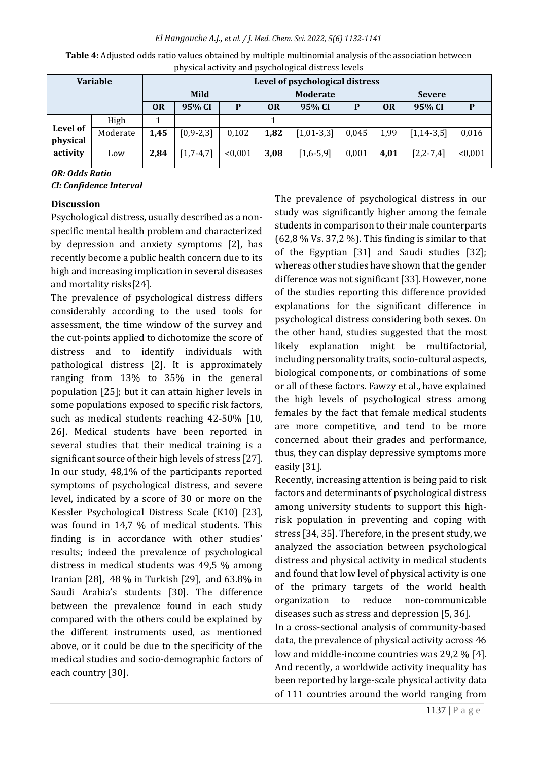*El Hangouche A.J., et al. / J. Med. Chem. Sci. 2022, 5(6) 1132-1141*

| <b>Variable</b>                                                                                      |          | $\epsilon$<br>Level of psychological distress |                 |                 |           |              |               |           |                  |         |
|------------------------------------------------------------------------------------------------------|----------|-----------------------------------------------|-----------------|-----------------|-----------|--------------|---------------|-----------|------------------|---------|
|                                                                                                      |          | Mild                                          |                 | <b>Moderate</b> |           |              | <b>Severe</b> |           |                  |         |
|                                                                                                      |          | <b>OR</b>                                     | 95% CI          | P               | <b>OR</b> | 95% CI       | P             | <b>OR</b> | 95% CI           |         |
| Level of<br>physical<br>activity<br>$\mathbf{a}$ $\mathbf{a}$ $\mathbf{b}$ $\mathbf{b}$ $\mathbf{c}$ | High     |                                               |                 |                 |           |              |               |           |                  |         |
|                                                                                                      | Moderate | 1,45                                          | $[0, 9 - 2, 3]$ | 0,102           | 1,82      | $[1,01-3,3]$ | 0,045         | 1,99      | $[1, 14 - 3, 5]$ | 0,016   |
|                                                                                                      | Low      | 2,84                                          | $[1,7-4,7]$     | < 0.001         | 3,08      | $[1,6-5,9]$  | 0,001         | 4,01      | $[2, 2 - 7, 4]$  | < 0,001 |

**Table 4:** Adjusted odds ratio values obtained by multiple multinomial analysis of the association between physical activity and psychological distress levels

*OR: Odds Ratio CI: Confidence Interval*

# **Discussion**

Psychological distress, usually described as a nonspecific mental health problem and characterized by depression and anxiety symptoms [2], has recently become a public health concern due to its high and increasing implication in several diseases and mortality risks[24].

The prevalence of psychological distress differs considerably according to the used tools for assessment, the time window of the survey and the cut-points applied to dichotomize the score of distress and to identify individuals with pathological distress [2]. It is approximately ranging from 13% to 35% in the general population [25]; but it can attain higher levels in some populations exposed to specific risk factors, such as medical students reaching 42-50% [10, 26]. Medical students have been reported in several studies that their medical training is a significant source of their high levels of stress [27]. In our study, 48,1% of the participants reported symptoms of psychological distress, and severe level, indicated by a score of 30 or more on the Kessler Psychological Distress Scale (K10) [23], was found in 14,7 % of medical students. This finding is in accordance with other studies' results; indeed the prevalence of psychological distress in medical students was 49,5 % among Iranian [28], 48 % in Turkish [29], and 63.8% in Saudi Arabia's students [30]. The difference between the prevalence found in each study compared with the others could be explained by the different instruments used, as mentioned above, or it could be due to the specificity of the medical studies and socio-demographic factors of each country [30].

The prevalence of psychological distress in our study was significantly higher among the female students in comparison to their male counterparts  $(62,8\%$  Vs. 37,2 %). This finding is similar to that of the Egyptian [31] and Saudi studies [32]; whereas other studies have shown that the gender difference was not significant [33]. However, none of the studies reporting this difference provided explanations for the significant difference in psychological distress considering both sexes. On the other hand, studies suggested that the most likely explanation might be multifactorial, including personality traits, socio-cultural aspects, biological components, or combinations of some or all of these factors. Fawzy et al., have explained the high levels of psychological stress among females by the fact that female medical students are more competitive, and tend to be more concerned about their grades and performance, thus, they can display depressive symptoms more easily [31].

Recently, increasing attention is being paid to risk factors and determinants of psychological distress among university students to support this highrisk population in preventing and coping with stress [34, 35]. Therefore, in the present study, we analyzed the association between psychological distress and physical activity in medical students and found that low level of physical activity is one of the primary targets of the world health organization to reduce non-communicable diseases such as stress and depression [5, 36].

In a cross-sectional analysis of community-based data, the prevalence of physical activity across 46 low and middle-income countries was 29,2 % [4]. And recently, a worldwide activity inequality has been reported by large-scale physical activity data of 111 countries around the world ranging from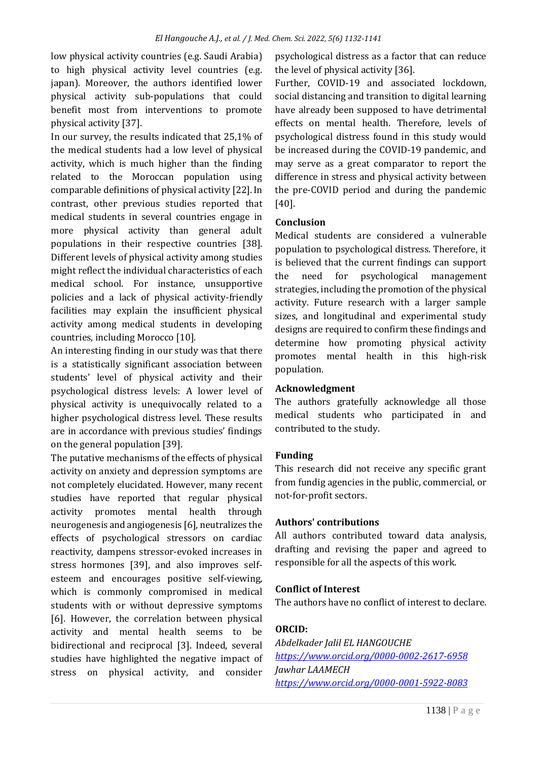low physical activity countries (e.g. Saudi Arabia) to high physical activity level countries (e.g. japan). Moreover, the authors identified lower physical activity sub-populations that could benefit most from interventions to promote physical activity [37].

In our survey, the results indicated that 25,1% of the medical students had a low level of physical activity, which is much higher than the finding related to the Moroccan population using comparable definitions of physical activity [22].In contrast, other previous studies reported that medical students in several countries engage in more physical activity than general adult populations in their respective countries [38]. Different levels of physical activity among studies might reflect the individual characteristics of each medical school. For instance, unsupportive policies and a lack of physical activity-friendly facilities may explain the insufficient physical activity among medical students in developing countries, including Morocco [10].

An interesting finding in our study was that there is a statistically significant association between students' level of physical activity and their psychological distress levels: A lower level of physical activity is unequivocally related to a higher psychological distress level. These results are in accordance with previous studies' findings on the general population [39].

The putative mechanisms of the effects of physical activity on anxiety and depression symptoms are not completely elucidated. However, many recent studies have reported that regular physical activity promotes mental health through neurogenesis and angiogenesis [6], neutralizes the effects of psychological stressors on cardiac reactivity, dampens stressor-evoked increases in stress hormones [39], and also improves selfesteem and encourages positive self-viewing, which is commonly compromised in medical students with or without depressive symptoms [6]. However, the correlation between physical activity and mental health seems to be bidirectional and reciprocal [3]. Indeed, several studies have highlighted the negative impact of stress on physical activity, and consider

psychological distress as a factor that can reduce the level of physical activity [36].

Further, COVID-19 and associated lockdown, social distancing and transition to digital learning have already been supposed to have detrimental effects on mental health. Therefore, levels of psychological distress found in this study would be increased during the COVID-19 pandemic, and may serve as a great comparator to report the difference in stress and physical activity between the pre-COVID period and during the pandemic [40].

# **Conclusion**

Medical students are considered a vulnerable population to psychological distress. Therefore, it is believed that the current findings can support the need for psychological management strategies, including the promotion of the physical activity. Future research with a larger sample sizes, and longitudinal and experimental study designs are required to confirm these findings and determine how promoting physical activity promotes mental health in this high-risk population.

# **Acknowledgment**

The authors gratefully acknowledge all those medical students who participated in and contributed to the study.

# **Funding**

This research did not receive any specific grant from fundig agencies in the public, commercial, or not-for-profit sectors.

# **Authors' contributions**

All authors contributed toward data analysis, drafting and revising the paper and agreed to responsible for all the aspects of this work.

# **Conflict of Interest**

The authors have no conflict of interest to declare.

# **ORCID:**

*Abdelkader Jalil EL HANGOUCHE <https://www.orcid.org/0000-0002-2617-6958> Jawhar LAAMECH <https://www.orcid.org/0000-0001-5922-8083>*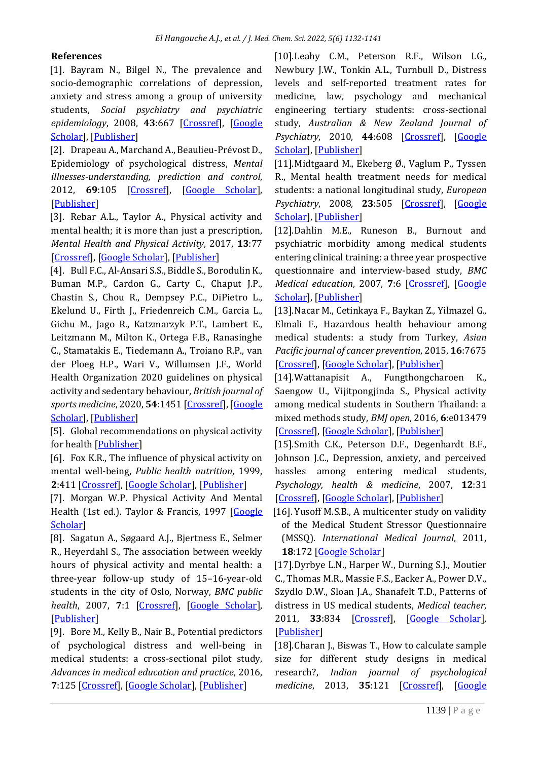# **References**

[1]. Bayram N., Bilgel N., The prevalence and socio-demographic correlations of depression, anxiety and stress among a group of university students, *Social psychiatry and psychiatric epidemiology*, 2008, **43**:667 [\[Crossref\]](https://doi.org/10.1007/s00127-008-0345-x), [\[Google](https://scholar.google.com/scholar?hl=de&as_sdt=0%2C5&q=The+prevalence+and+socio-demographic+correlations+of+depression%2C+anxiety+and+stress+among+a+group+of+university+students&btnG=)  [Scholar\]](https://scholar.google.com/scholar?hl=de&as_sdt=0%2C5&q=The+prevalence+and+socio-demographic+correlations+of+depression%2C+anxiety+and+stress+among+a+group+of+university+students&btnG=), [\[Publisher\]](https://link.springer.com/article/10.1007/s00127-008-0345-x)

[2]. Drapeau A., Marchand A., Beaulieu-Prévost D., Epidemiology of psychological distress, *Mental illnesses-understanding, prediction and control*, 2012, **69**:105 [\[Crossref\]](https://doi.org/10.5772/30872), [\[Google Scholar\]](https://scholar.google.com/scholar?hl=de&as_sdt=0%2C5&q=Epidemiology+of+Psychological+Distress&btnG=), [\[Publisher\]](https://www.intechopen.com/chapters/25512)

[3]. Rebar A.L., Taylor A., Physical activity and mental health; it is more than just a prescription, *Mental Health and Physical Activity*, 2017, **13**:77 [\[Crossref\]](https://doi.org/10.1016/j.mhpa.2017.10.004), [\[Google Scholar\]](https://scholar.google.com/scholar?hl=de&as_sdt=0%2C5&q=Physical+activity+and+mental+health%3B+it+is+more+than+just+a+prescription&btnG=), [\[Publisher\]](https://www.sciencedirect.com/science/article/abs/pii/S1755296617301539?via%3Dihub)

[4]. Bull F.C., Al-Ansari S.S., Biddle S., Borodulin K., Buman M.P., Cardon G., Carty C., Chaput J.P., Chastin S., Chou R., Dempsey P.C., DiPietro L., Ekelund U., Firth J., Friedenreich C.M., Garcia L., Gichu M., Jago R., Katzmarzyk P.T., Lambert E., Leitzmann M., Milton K., Ortega F.B., Ranasinghe C., Stamatakis E., Tiedemann A., Troiano R.P., van der Ploeg H.P., Wari V., Willumsen J.F., World Health Organization 2020 guidelines on physical activity and sedentary behaviour, *British journal of sports medicine*, 2020, **54**:1451 [\[Crossref\]](https://doi.org/10.1136/bjsports-2020-102955), [\[Google](https://scholar.google.com/scholar?hl=de&as_sdt=0%2C5&q=World+Health+Organization+2020+guidelines+on+physical+activity+and+sedentary+behaviour&btnG=)  [Scholar\]](https://scholar.google.com/scholar?hl=de&as_sdt=0%2C5&q=World+Health+Organization+2020+guidelines+on+physical+activity+and+sedentary+behaviour&btnG=), [\[Publisher\]](https://bjsm.bmj.com/content/54/24/1451)

[5]. Global recommendations on physical activity for health [\[Publisher\]](https://www.who.int/publications/i/item/9789241599979)

[6]. Fox K.R., The influence of physical activity on mental well-being, *Public health nutrition*, 1999, **2**:411 [\[Crossref\]](https://doi.org/10.1017/s1368980099000567), [\[Google Scholar\]](https://scholar.google.com/scholar?hl=de&as_sdt=0%2C5&q=The+influence+of+physical+activity+on+mental+well-being&btnG=), [\[Publisher\]](https://www.cambridge.org/core/journals/public-health-nutrition/article/influence-of-physical-activity-on-mental-wellbeing/3C363AEECE5C8CAC490A585BA29E6BF8)

[7]. Morgan W.P. Physical Activity And Mental Health (1st ed.). Taylor & Francis, 1997 [Google [Scholar\]](https://scholar.google.com/scholar?hl=en&as_sdt=0%2C5&q=+%5B7%5D.%09Morgan%2C+W.P.+Physical+Activity+And+Mental+Health+%281st+ed.%29.+Taylor+%26+Francis%2C+1997+&btnG=)

[8]. Sagatun A., Søgaard A.J., Bjertness E., Selmer R., Heyerdahl S., The association between weekly hours of physical activity and mental health: a three-year follow-up study of 15–16-year-old students in the city of Oslo, Norway, *BMC public*  health, 2007, 7:1 [\[Crossref\]](https://doi.org/10.1186/1471-2458-7-155), [\[Google Scholar\]](https://scholar.google.com/scholar?hl=de&as_sdt=0%2C5&q=The+association+between+weekly+hours+of+physical+activity+and+mental+health%3A+A+three-year+follow-up+study+of+15%E2%80%9316-year-old+students+in+the+city+of+Oslo%2C+Norway&btnG=), [\[Publisher\]](https://bmcpublichealth.biomedcentral.com/articles/10.1186/1471-2458-7-155)

[9]. Bore M., Kelly B., Nair B., Potential predictors of psychological distress and well-being in medical students: a cross-sectional pilot study, *Advances in medical education and practice*, 2016, **7**:125 [\[Crossref\]](https://doi.org/10.2147/AMEP.S96802), [\[Google Scholar\]](https://scholar.google.com/scholar?hl=de&as_sdt=0%2C5&q=Potential+predictors+of+psychological+distress+and+well-being+in+medical+students%3A+a+cross-sectional+pilot+study&btnG=), [\[Publisher\]](https://www.dovepress.com/potential-predictors-of-psychological-distress-and-well-being-in-medic-peer-reviewed-fulltext-article-AMEP)

[10].Leahy C.M., Peterson R.F., Wilson I.G., Newbury J.W., Tonkin A.L., Turnbull D., Distress levels and self-reported treatment rates for medicine, law, psychology and mechanical engineering tertiary students: cross-sectional study, *Australian & New Zealand Journal of Psychiatry*, 2010, **44**:608 [\[Crossref\]](https://doi.org/10.3109/00048671003649052), [\[Google](https://scholar.google.com/scholar?hl=de&as_sdt=0%2C5&q=Distress+Levels+and+Self-Reported+Treatment+Rates+for+Medicine%2C+Law%2C+Psychology+and+Mechanical+Engineering+Tertiary+Students%3A+Cross-Sectional+Study&btnG=)  [Scholar\]](https://scholar.google.com/scholar?hl=de&as_sdt=0%2C5&q=Distress+Levels+and+Self-Reported+Treatment+Rates+for+Medicine%2C+Law%2C+Psychology+and+Mechanical+Engineering+Tertiary+Students%3A+Cross-Sectional+Study&btnG=), [\[Publisher\]](https://journals.sagepub.com/doi/10.3109/00048671003649052)

[11].Midtgaard M., Ekeberg Ø., Vaglum P., Tyssen R., Mental health treatment needs for medical students: a national longitudinal study, *European Psychiatry*, 2008, **23**:505 [\[Crossref\]](https://doi.org/10.1016/j.eurpsy.2008.04.006), [\[Google](https://scholar.google.com/scholar?hl=de&as_sdt=0%2C5&q=Mental+health+treatment+needs+for+medical+students%3A+a+national+longitudinal+study&btnG=)  [Scholar\]](https://scholar.google.com/scholar?hl=de&as_sdt=0%2C5&q=Mental+health+treatment+needs+for+medical+students%3A+a+national+longitudinal+study&btnG=), [\[Publisher\]](https://www.cambridge.org/core/journals/european-psychiatry/article/abs/mental-health-treatment-needs-for-medical-students-a-national-longitudinal-study/DBE7EC8FC042418744AE1103E969E872)

[12].Dahlin M.E., Runeson B., Burnout and psychiatric morbidity among medical students entering clinical training: a three year prospective questionnaire and interview-based study, *BMC Medical education*, 2007, **7**:6 [\[Crossref\]](https://doi.org/10.1186/1472-6920-7-6), [\[Google](https://scholar.google.com/scholar?hl=de&as_sdt=0%2C5&q=Burnout+and+psychiatric+morbidity+among+medical+students+entering+clinical+training%3A+a+three+year+prospective+questionnaire+and+interview-based+study.&btnG=)  [Scholar\]](https://scholar.google.com/scholar?hl=de&as_sdt=0%2C5&q=Burnout+and+psychiatric+morbidity+among+medical+students+entering+clinical+training%3A+a+three+year+prospective+questionnaire+and+interview-based+study.&btnG=), [\[Publisher\]](https://bmcmededuc.biomedcentral.com/articles/10.1186/1472-6920-7-6)

[13].Nacar M., Cetinkaya F., Baykan Z., Yilmazel G., Elmali F., Hazardous health behaviour among medical students: a study from Turkey, *Asian Pacific journal of cancer prevention*, 2015, **16**:7675 [\[Crossref\]](https://doi.org/10.7314/apjcp.2015.16.17.7675), [\[Google Scholar\]](https://scholar.google.com/scholar?hl=de&as_sdt=0%2C5&q=Hazardous+Health+Behaviour+among+Medical+Students%3A+a+Study+from+Turkey&btnG=), [\[Publisher\]](http://koreascience.or.kr/article/JAKO201501255363293.page)

[14].Wattanapisit A., Fungthongcharoen K., Saengow U., Vijitpongjinda S., Physical activity among medical students in Southern Thailand: a mixed methods study, *BMJ open*, 2016, **6**:e013479 [\[Crossref\]](https://doi.org/10.1136/bmjopen-2016-013479), [\[Google Scholar\]](https://scholar.google.com/scholar?hl=de&as_sdt=0%2C5&q=Physical+activity+among+medical+students+in+Southern+Thailand%3A+a+mixed+methods+study&btnG=), [\[Publisher\]](https://bmjopen.bmj.com/content/6/9/e013479)

[15].Smith C.K., Peterson D.F., Degenhardt B.F., Johnson J.C., Depression, anxiety, and perceived hassles among entering medical students, *Psychology, health & medicine*, 2007, **12**:31 [\[Crossref\]](https://doi.org/10.1080/13548500500429387), [Google [Scholar\]](https://scholar.google.com/scholar?hl=de&as_sdt=0%2C5&q=Depression%2C+anxiety%2C+and+perceived+hassles+among+entering+medical+students&btnG=), [\[Publisher\]](https://www.tandfonline.com/doi/abs/10.1080/13548500500429387)

[16]. Yusoff M.S.B., A multicenter study on validity of the Medical Student Stressor Questionnaire (MSSQ). *International Medical Journal*, 2011, **18**:172 [\[Google Scholar\]](https://scholar.google.com/scholar?hl=en&as_sdt=0%2C5&q=Yusoff%2C+M.S.B.%2C+2011.+A+multicenter+study+on+validity+of+the+Medical+Student+Stressor+Questionnaire+%28MSSQ%29.+International+Medical+Journal%2C+18%281%29%2C+pp.14-18.&btnG=)

[17].Dyrbye L.N., Harper W., Durning S.J., Moutier C., Thomas M.R., Massie F.S., Eacker A., Power D.V., Szydlo D.W., Sloan J.A., Shanafelt T.D., Patterns of distress in US medical students, *Medical teacher*, 2011, **33**:834 [\[Crossref\]](https://doi.org/10.3109/0142159X.2010.531158), [\[Google Scholar\]](https://scholar.google.com/scholar?hl=de&as_sdt=0%2C5&q=Patterns+of+distress+in+US+medical+students&btnG=), [\[Publisher\]](https://www.tandfonline.com/doi/full/10.3109/0142159X.2010.531158)

[18].Charan J., Biswas T., How to calculate sample size for different study designs in medical research?, *Indian journal of psychological medicine*, 2013, **35**:121 [\[Crossref\]](https://doi.org/10.4103/0253-7176.116232), [\[Google](https://scholar.google.com/scholar?hl=de&as_sdt=0%2C5&q=How+to+Calculate+Sample+Size+for+Different+Study+Designs+in+Medical+Research%3F&btnG=)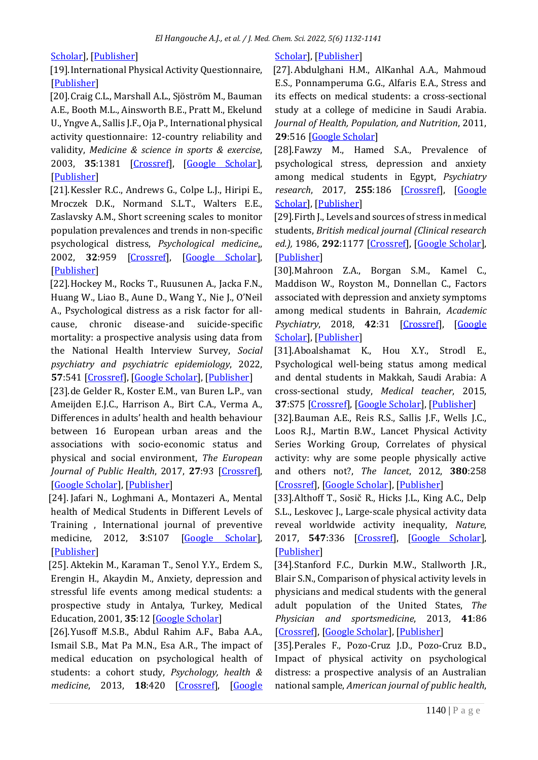# [Scholar\]](https://scholar.google.com/scholar?hl=de&as_sdt=0%2C5&q=How+to+Calculate+Sample+Size+for+Different+Study+Designs+in+Medical+Research%3F&btnG=), [\[Publisher\]](https://journals.sagepub.com/doi/10.4103/0253-7176.116232)

[19].International Physical Activity Questionnaire, [\[Publisher\]](https://sites.google.com/site/theipaq/)

[20].Craig C.L., Marshall A.L., Sjöström M., Bauman A.E., Booth M.L., Ainsworth B.E., Pratt M., Ekelund U., Yngve A., Sallis J.F., Oja P., International physical activity questionnaire: 12-country reliability and validity, *Medicine & science in sports & exercise*, 2003, **35**:1381 [\[Crossref\]](https://doi.org/10.1249/01.MSS.0000078924.61453.FB), [\[Google Scholar\]](https://scholar.google.com/scholar?hl=de&as_sdt=0%2C5&q=International+Physical+Activity+Questionnaire%3A+12-Country+Reliability+and+Validity&btnG=), [\[Publisher\]](https://journals.lww.com/acsm-msse/Fulltext/2003/08000/International_Physical_Activity_Questionnaire_.20.aspx)

[21].Kessler R.C., Andrews G., Colpe L.J., Hiripi E., Mroczek D.K., Normand S.L.T., Walters E.E., Zaslavsky A.M., Short screening scales to monitor population prevalences and trends in non-specific psychological distress, *Psychological medicine*,, 2002, **32**:959 [\[Crossref\]](https://doi.org/10.1017/s0033291702006074), [\[Google Scholar\]](https://scholar.google.com/scholar?hl=de&as_sdt=0%2C5&q=Short+screening+scales+to+monitor+population+prevalences+and+trends+in+non-specific+psychological+distress&btnG=), [\[Publisher\]](https://www.cambridge.org/core/journals/psychological-medicine/article/abs/short-screening-scales-to-monitor-population-prevalences-and-trends-in-nonspecific-psychological-distress/F141675CCD0E08C0FB98E01C006B4E0D)

[22].Hockey M., Rocks T., Ruusunen A., Jacka F.N., Huang W., Liao B., Aune D., Wang Y., Nie J., O'Neil A., Psychological distress as a risk factor for allcause, chronic disease-and suicide-specific mortality: a prospective analysis using data from the National Health Interview Survey, *Social psychiatry and psychiatric epidemiology*, 2022, **57**:541 [\[Crossref\]](https://doi.org/10.1007/s00127-021-02116-7), [\[Google Scholar\]](https://scholar.google.com/scholar?hl=de&as_sdt=0%2C5&q=Psychological+distress+as+a+risk+factor+for+all-cause%2C+chronic+disease-+and+suicide-specific+mortality%3A+a+prospective+analysis+using+data+from+the+National+Health+Interview+Survey&btnG=), [\[Publisher\]](https://link.springer.com/article/10.1007/s00127-021-02116-7)

[23].de Gelder R., Koster E.M., van Buren L.P., van Ameijden E.J.C., Harrison A., Birt C.A., Verma A., Differences in adults' health and health behaviour between 16 European urban areas and the associations with socio-economic status and physical and social environment, *The European Journal of Public Health*, 2017, **27**:93 [\[Crossref\]](https://doi.org/10.1093/eurpub/ckv141), [\[Google Scholar\]](https://scholar.google.com/scholar?hl=de&as_sdt=0%2C5&q=Differences+in+adults%E2%80%99+health+and+health+behaviour+between+16+European+urban+areas+and+the+associations+with+socio-economic+status+and+physical+and+social+environment+&btnG=), [\[Publisher\]](https://academic.oup.com/eurpub/article/27/suppl_2/93/2622372)

[24]. Jafari N., Loghmani A., Montazeri A., Mental health of Medical Students in Different Levels of Training , International journal of preventive medicine, 2012, **3**:S107 [\[Google Scholar\]](https://scholar.google.com/scholar?hl=en&as_sdt=0%2C5&q=Mental+health+of+medical+students+in+different+levels+of+training&btnG=), [\[Publisher\]](https://www.ncbi.nlm.nih.gov/pmc/articles/PMC3399312/)

[25]. Aktekin M., Karaman T., Senol Y.Y., Erdem S., Erengin H., Akaydin M., Anxiety, depression and stressful life events among medical students: a prospective study in Antalya, Turkey, Medical Education, 2001, **35**:12 [\[Google Scholar\]](https://scholar.google.com/scholar?hl=en&as_sdt=0%2C5&q=+%5B25%5D.%09Aktekin+M.%2C+Karaman+T.%2C+Senol+Y.Y.%2C+Erdem+S.%2C+Erengin+H.%2C+Akaydin+M.%2C+Med+Educ%2C+2001%2C+35%3A12+&btnG=)

[26].Yusoff M.S.B., Abdul Rahim A.F., Baba A.A., Ismail S.B., Mat Pa M.N., Esa A.R., The impact of medical education on psychological health of students: a cohort study, *Psychology, health & medicine*, 2013, **18**:420 [\[Crossref\]](https://doi.org/10.1080/13548506.2012.740162), [\[Google](https://scholar.google.com/scholar?hl=de&as_sdt=0%2C5&q=The+impact+of+medical+education+on+psychological+health+of+students%3A+A+cohort+study&btnG=) 

# [Scholar\]](https://scholar.google.com/scholar?hl=de&as_sdt=0%2C5&q=The+impact+of+medical+education+on+psychological+health+of+students%3A+A+cohort+study&btnG=), [\[Publisher\]](https://www.tandfonline.com/doi/abs/10.1080/13548506.2012.740162)

[27]. Abdulghani H.M., AlKanhal A.A., Mahmoud E.S., Ponnamperuma G.G., Alfaris E.A., Stress and its effects on medical students: a cross-sectional study at a college of medicine in Saudi Arabia. *Journal of Health, Population, and Nutrition*, 2011, **29**:516 [\[Google Scholar\]](https://scholar.google.com/scholar?hl=en&as_sdt=0%2C5&q=+%5B27%5D.%09Abdulghani+H.M.%2C+AlKanhal+A.A.%2C+Mahmoud+E.S.%2C+Ponnamperuma+G.G.%2C+Alfaris+E.A.%2C+J+Health+Popul+Nutr%2C+2011%2C+29%3A516+&btnG=)

[28].Fawzy M., Hamed S.A., Prevalence of psychological stress, depression and anxiety among medical students in Egypt, *Psychiatry research*, 2017, **255**:186 [\[Crossref\]](https://doi.org/10.1016/j.psychres.2017.05.027), [\[Google](https://scholar.google.com/scholar?hl=de&as_sdt=0%2C5&q=Prevalence+of+psychological+stress%2C+depression+and+anxiety+among+medical+students+in+Egypt&btnG=)  [Scholar\]](https://scholar.google.com/scholar?hl=de&as_sdt=0%2C5&q=Prevalence+of+psychological+stress%2C+depression+and+anxiety+among+medical+students+in+Egypt&btnG=), [\[Publisher\]](https://www.sciencedirect.com/science/article/abs/pii/S0165178116313002?via%3Dihub)

[29]. Firth J., Levels and sources of stress in medical students, *British medical journal (Clinical research ed.),* 1986, **292**:1177 [\[Crossref\]](https://doi.org/10.1136/bmj.292.6529.1177), [\[Google Scholar\]](https://scholar.google.com/scholar?hl=de&as_sdt=0%2C5&q=Levels+and+sources+of+stress+in+medical+students.&btnG=), [\[Publisher\]](https://www.bmj.com/content/292/6529/1177)

[30].Mahroon Z.A., Borgan S.M., Kamel C., Maddison W., Royston M., Donnellan C., Factors associated with depression and anxiety symptoms among medical students in Bahrain, *Academic Psychiatry*, 2018, **42**:31 [\[Crossref\]](https://doi.org/10.1007/s40596-017-0733-1), [\[Google](https://scholar.google.com/scholar?hl=de&as_sdt=0%2C5&q=Factors+Associated+with+Depression+and+Anxiety+Symptoms+Among+Medical+Students+in+Bahrain.&btnG=)  [Scholar\]](https://scholar.google.com/scholar?hl=de&as_sdt=0%2C5&q=Factors+Associated+with+Depression+and+Anxiety+Symptoms+Among+Medical+Students+in+Bahrain.&btnG=), [\[Publisher\]](https://link.springer.com/article/10.1007/s40596-017-0733-1)

[31].Aboalshamat K., Hou X.Y., Strodl E., Psychological well-being status among medical and dental students in Makkah, Saudi Arabia: A cross-sectional study, *Medical teacher*, 2015, **37**:S75 [\[Crossref\]](https://doi.org/10.3109/0142159X.2015.1006612), [\[Google Scholar\]](https://scholar.google.com/scholar?hl=de&as_sdt=0%2C5&q=Psychological+well-being+status+among+medical+and+dental+students+in+Makkah%2C+Saudi+Arabia%3A+A+cross-sectional+study&btnG=), [\[Publisher\]](https://www.tandfonline.com/doi/full/10.3109/0142159X.2015.1006612)

[32].Bauman A.E., Reis R.S., Sallis J.F., Wells J.C., Loos R.J., Martin B.W., Lancet Physical Activity Series Working Group, Correlates of physical activity: why are some people physically active and others not?, *The lancet*, 2012, **380**:258 [\[Crossref\]](https://doi.org/10.1016/S0140-6736(12)60735-1), [\[Google Scholar\]](https://scholar.google.com/scholar?hl=de&as_sdt=0%2C5&q=Correlates+of+physical+activity%3A+why+are+some+people+physically+active+and+others+not%3F&btnG=), [\[Publisher\]](https://www.thelancet.com/journals/lancet/article/PIIS0140-6736(12)60735-1/fulltext)

[33].Althoff T., Sosič R., Hicks J.L., King A.C., Delp S.L., Leskovec J., Large-scale physical activity data reveal worldwide activity inequality, *Nature*, 2017, **547**:336 [\[Crossref\]](https://doi.org/10.1038/nature23018), [\[Google Scholar\]](https://scholar.google.com/scholar?hl=de&as_sdt=0%2C5&q=Large-scale+physical+activity+data+reveal+worldwide+activity+inequality&btnG=), [\[Publisher\]](https://www.nature.com/articles/nature23018)

[34].Stanford F.C., Durkin M.W., Stallworth J.R., Blair S.N., Comparison of physical activity levels in physicians and medical students with the general adult population of the United States, *The Physician and sportsmedicine*, 2013, **41**:86 [\[Crossref\]](https://doi.org/10.3810/psm.2013.11.2039), [\[Google Scholar\]](https://scholar.google.com/scholar?hl=de&as_sdt=0%2C5&q=Comparison+of+Physical+Activity+Levels+in+Physicians+and+Medical+Students+with+the+General+Adult+Population+of+the+United+States&btnG=), [\[Publisher\]](https://www.tandfonline.com/doi/abs/10.3810/psm.2013.11.2039)

[35].Perales F., Pozo-Cruz J.D., Pozo-Cruz B.D., Impact of physical activity on psychological distress: a prospective analysis of an Australian national sample, *American journal of public health*,